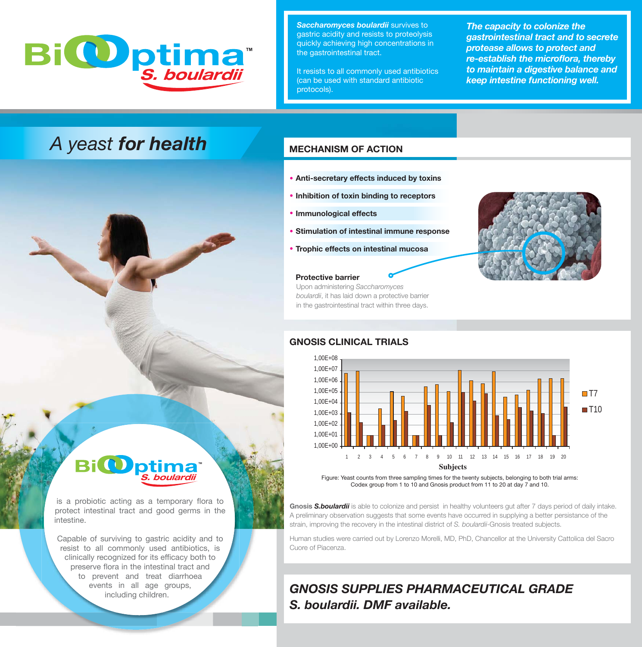

*Saccharomyces boulardii* survives to gastric acidity and resists to proteolysis quickly achieving high concentrations in the gastrointestinal tract.

It resists to all commonly used antibiotics (can be used with standard antibiotic protocols).

*The capacity to colonize the gastrointestinal tract and to secrete protease allows to protect and re-establish the microflora, thereby to maintain a digestive balance and keep intestine functioning well.*

# *A yeast for health*

### **MECHANISM OF ACTION**

- **Anti-secretary effects induced by toxins**
- **Inhibition of toxin binding to receptors**
- **Immunological effects**
- **Stimulation of intestinal immune response**
- **Trophic effects on intestinal mucosa**

#### **Protective barrier**

Upon administering *Saccharomyces boulardii*, it has laid down a protective barrier in the gastrointestinal tract within three days.



#### **GNOSIS CLINICAL TRIALS**



Figure: Yeast counts from three sampling times for the twenty subjects, belonging to both trial arms: Codex group from 1 to 10 and Gnosis product from 11 to 20 at day 7 and 10.

**Gnosis** *S.boulardii* is able to colonize and persist in healthy volunteers gut after 7 days period of daily intake. A preliminary observation suggests that some events have occurred in supplying a better persistance of the strain, improving the recovery in the intestinal district of *S. boulardii*-Gnosis treated subjects.

Human studies were carried out by Lorenzo Morelli, MD, PhD, Chancellor at the University Cattolica del Sacro Cuore of Piacenza.

# *GNOSIS SUPPLIES PHARMACEUTICAL GRADE S. boulardii. DMF available.*

#### **BiO ™** *S. boulardii*

is a probiotic acting as a temporary flora to protect intestinal tract and good germs in the intestine.

Capable of surviving to gastric acidity and to resist to all commonly used antibiotics, is clinically recognized for its efficacy both to preserve flora in the intestinal tract and to prevent and treat diarrhoea events in all age groups, including children.